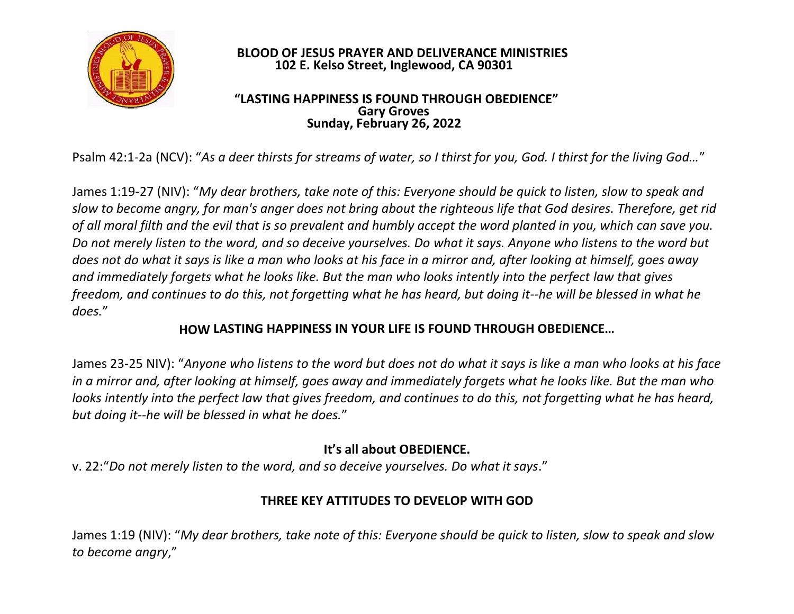

#### **BLOOD OF JESUS PRAYER AND DELIVERANCE MINISTRIES 102 E. Kelso Street, Inglewood, CA 90301**

#### **"LASTING HAPPINESS IS FOUND THROUGH OBEDIENCE" Gary Groves Sunday, February 26, 2022**

Psalm 42:1-2a (NCV): "*As a deer thirsts for streams of water, so I thirst for you, God. I thirst for the living God…*"

James 1:19-27 (NIV): "*My dear brothers, take note of this: Everyone should be quick to listen, slow to speak and slow to become angry, for man's anger does not bring about the righteous life that God desires. Therefore, get rid of all moral filth and the evil that is so prevalent and humbly accept the word planted in you, which can save you. Do not merely listen to the word, and so deceive yourselves. Do what it says. Anyone who listens to the word but does not do what it says is like a man who looks at his face in a mirror and, after looking at himself, goes away and immediately forgets what he looks like. But the man who looks intently into the perfect law that gives freedom, and continues to do this, not forgetting what he has heard, but doing it--he will be blessed in what he does.*"

#### **HOW LASTING HAPPINESS IN YOUR LIFE IS FOUND THROUGH OBEDIENCE…**

James 23-25 NIV): "*Anyone who listens to the word but does not do what it says is like a man who looks at his face in a mirror and, after looking at himself, goes away and immediately forgets what he looks like. But the man who looks intently into the perfect law that gives freedom, and continues to do this, not forgetting what he has heard, but doing it--he will be blessed in what he does.*"

# **It's all about OBEDIENCE.**

v. 22:"*Do not merely listen to the word, and so deceive yourselves. Do what it says*."

# **THREE KEY ATTITUDES TO DEVELOP WITH GOD**

James 1:19 (NIV): "*My dear brothers, take note of this: Everyone should be quick to listen, slow to speak and slow to become angry*,"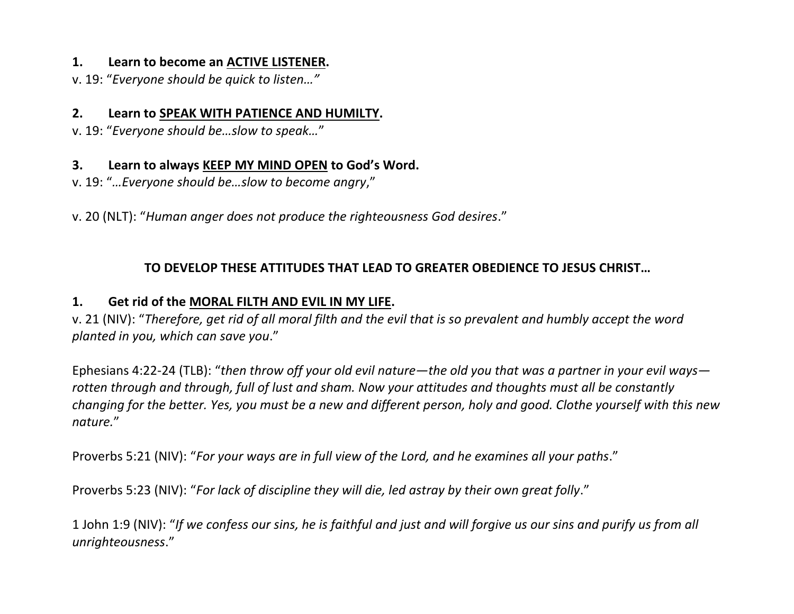#### **1. Learn to become an ACTIVE LISTENER.**

v. 19: "*Everyone should be quick to listen…"*

#### **2. Learn to SPEAK WITH PATIENCE AND HUMILTY.**

v. 19: "*Everyone should be…slow to speak…*"

### **3. Learn to always KEEP MY MIND OPEN to God's Word.**

v. 19: "*…Everyone should be…slow to become angry*,"

v. 20 (NLT): "*Human anger does not produce the righteousness God desires*."

### **TO DEVELOP THESE ATTITUDES THAT LEAD TO GREATER OBEDIENCE TO JESUS CHRIST…**

## **1. Get rid of the MORAL FILTH AND EVIL IN MY LIFE.**

v. 21 (NIV): "*Therefore, get rid of all moral filth and the evil that is so prevalent and humbly accept the word planted in you, which can save you*."

Ephesians 4:22-24 (TLB): "*then throw off your old evil nature—the old you that was a partner in your evil ways rotten through and through, full of lust and sham. Now your attitudes and thoughts must all be constantly changing for the better. Yes, you must be a new and different person, holy and good. Clothe yourself with this new nature.*"

Proverbs 5:21 (NIV): "*For your ways are in full view of the Lord, and he examines all your paths*."

Proverbs 5:23 (NIV): "*For lack of discipline they will die, led astray by their own great folly*."

1 John 1:9 (NIV): "*If we confess our sins, he is faithful and just and will forgive us our sins and purify us from all unrighteousness*."